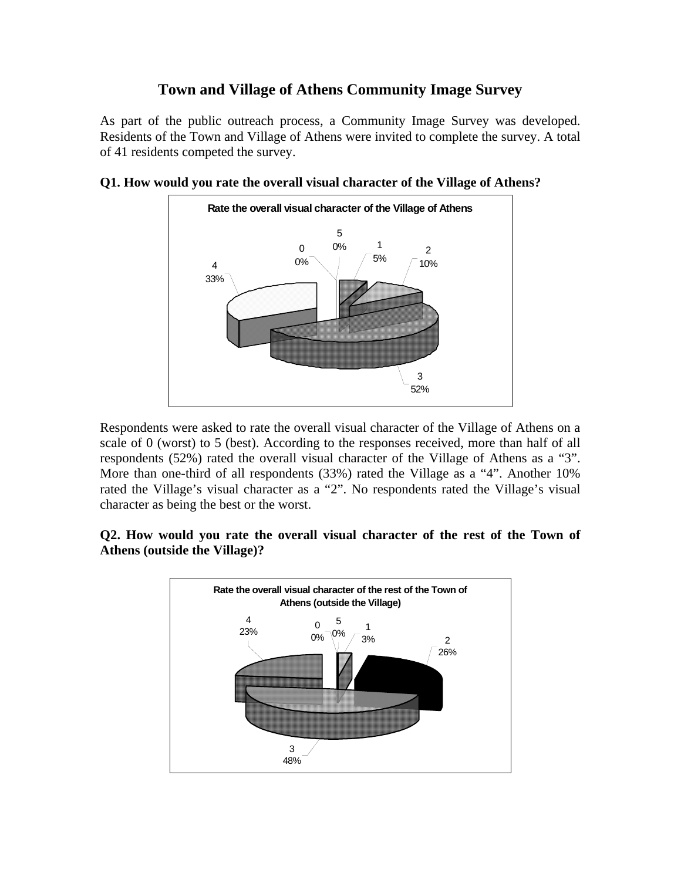## **Town and Village of Athens Community Image Survey**

As part of the public outreach process, a Community Image Survey was developed. Residents of the Town and Village of Athens were invited to complete the survey. A total of 41 residents competed the survey.



**Q1. How would you rate the overall visual character of the Village of Athens?** 

Respondents were asked to rate the overall visual character of the Village of Athens on a scale of 0 (worst) to 5 (best). According to the responses received, more than half of all respondents (52%) rated the overall visual character of the Village of Athens as a "3". More than one-third of all respondents (33%) rated the Village as a "4". Another 10% rated the Village's visual character as a "2". No respondents rated the Village's visual character as being the best or the worst.

## **Q2. How would you rate the overall visual character of the rest of the Town of Athens (outside the Village)?**

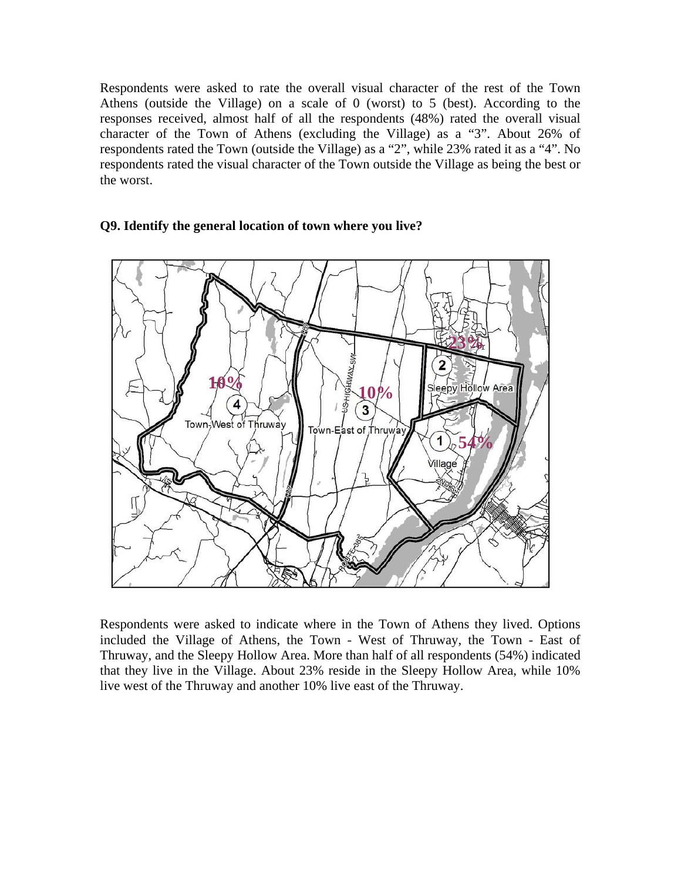Respondents were asked to rate the overall visual character of the rest of the Town Athens (outside the Village) on a scale of 0 (worst) to 5 (best). According to the responses received, almost half of all the respondents (48%) rated the overall visual character of the Town of Athens (excluding the Village) as a "3". About 26% of respondents rated the Town (outside the Village) as a "2", while 23% rated it as a "4". No respondents rated the visual character of the Town outside the Village as being the best or the worst.



#### **Q9. Identify the general location of town where you live?**

Respondents were asked to indicate where in the Town of Athens they lived. Options included the Village of Athens, the Town - West of Thruway, the Town - East of Thruway, and the Sleepy Hollow Area. More than half of all respondents (54%) indicated that they live in the Village. About 23% reside in the Sleepy Hollow Area, while 10% live west of the Thruway and another 10% live east of the Thruway.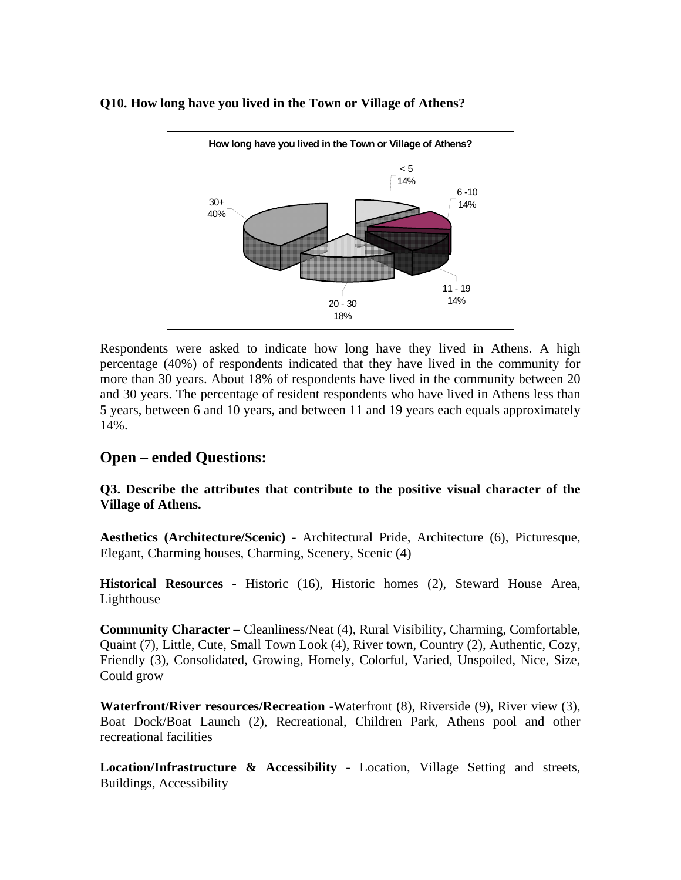#### **Q10. How long have you lived in the Town or Village of Athens?**



Respondents were asked to indicate how long have they lived in Athens. A high percentage (40%) of respondents indicated that they have lived in the community for more than 30 years. About 18% of respondents have lived in the community between 20 and 30 years. The percentage of resident respondents who have lived in Athens less than 5 years, between 6 and 10 years, and between 11 and 19 years each equals approximately 14%.

# **Open – ended Questions:**

**Q3. Describe the attributes that contribute to the positive visual character of the Village of Athens.** 

**Aesthetics (Architecture/Scenic) -** Architectural Pride, Architecture (6), Picturesque, Elegant, Charming houses, Charming, Scenery, Scenic (4)

**Historical Resources -** Historic (16), Historic homes (2), Steward House Area, Lighthouse

**Community Character –** Cleanliness/Neat (4), Rural Visibility, Charming, Comfortable, Quaint (7), Little, Cute, Small Town Look (4), River town, Country (2), Authentic, Cozy, Friendly (3), Consolidated, Growing, Homely, Colorful, Varied, Unspoiled, Nice, Size, Could grow

**Waterfront/River resources/Recreation -**Waterfront (8), Riverside (9), River view (3), Boat Dock/Boat Launch (2), Recreational, Children Park, Athens pool and other recreational facilities

**Location/Infrastructure & Accessibility -** Location, Village Setting and streets, Buildings, Accessibility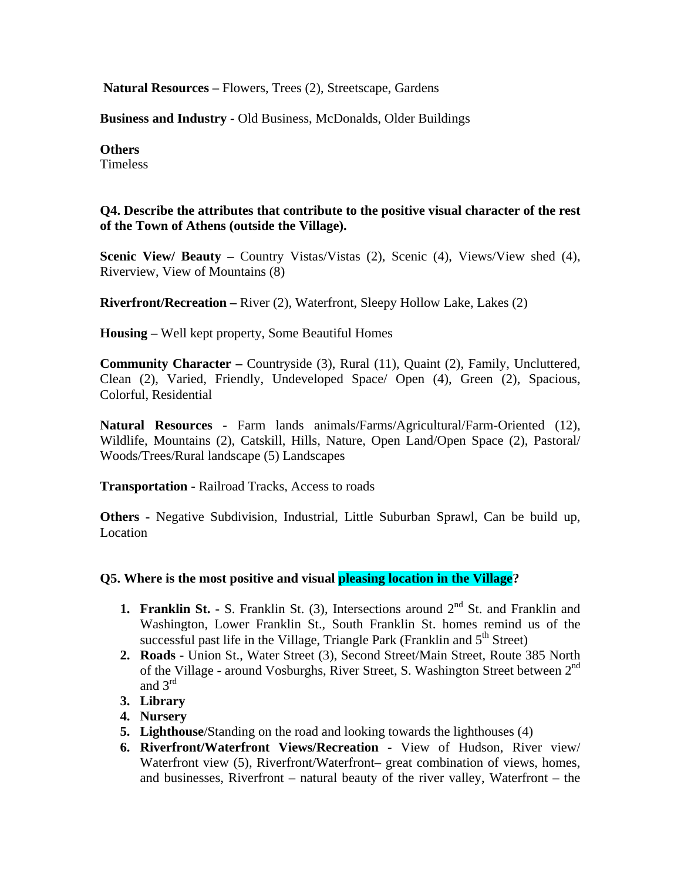**Natural Resources –** Flowers, Trees (2), Streetscape, Gardens

**Business and Industry -** Old Business, McDonalds, Older Buildings

#### **Others**

Timeless

#### **Q4. Describe the attributes that contribute to the positive visual character of the rest of the Town of Athens (outside the Village).**

**Scenic View/ Beauty –** Country Vistas/Vistas (2), Scenic (4), Views/View shed (4), Riverview, View of Mountains (8)

**Riverfront/Recreation –** River (2), Waterfront, Sleepy Hollow Lake, Lakes (2)

**Housing –** Well kept property, Some Beautiful Homes

**Community Character –** Countryside (3), Rural (11), Quaint (2), Family, Uncluttered, Clean (2), Varied, Friendly, Undeveloped Space/ Open (4), Green (2), Spacious, Colorful, Residential

**Natural Resources -** Farm lands animals/Farms/Agricultural/Farm-Oriented (12), Wildlife, Mountains (2), Catskill, Hills, Nature, Open Land/Open Space (2), Pastoral/ Woods/Trees/Rural landscape (5) Landscapes

**Transportation -** Railroad Tracks, Access to roads

**Others -** Negative Subdivision, Industrial, Little Suburban Sprawl, Can be build up, Location

#### **Q5. Where is the most positive and visual pleasing location in the Village?**

- **1. Franklin St. -** S. Franklin St. (3), Intersections around  $2<sup>nd</sup>$  St. and Franklin and Washington, Lower Franklin St., South Franklin St. homes remind us of the successful past life in the Village, Triangle Park (Franklin and  $5<sup>th</sup>$  Street)
- **2. Roads -** Union St., Water Street (3), Second Street/Main Street, Route 385 North of the Village - around Vosburghs, River Street, S. Washington Street between 2<sup>nd</sup> and 3rd
- **3. Library**
- **4. Nursery**
- **5. Lighthouse**/Standing on the road and looking towards the lighthouses (4)
- **6. Riverfront/Waterfront Views/Recreation** View of Hudson, River view/ Waterfront view (5), Riverfront/Waterfront– great combination of views, homes, and businesses, Riverfront – natural beauty of the river valley, Waterfront – the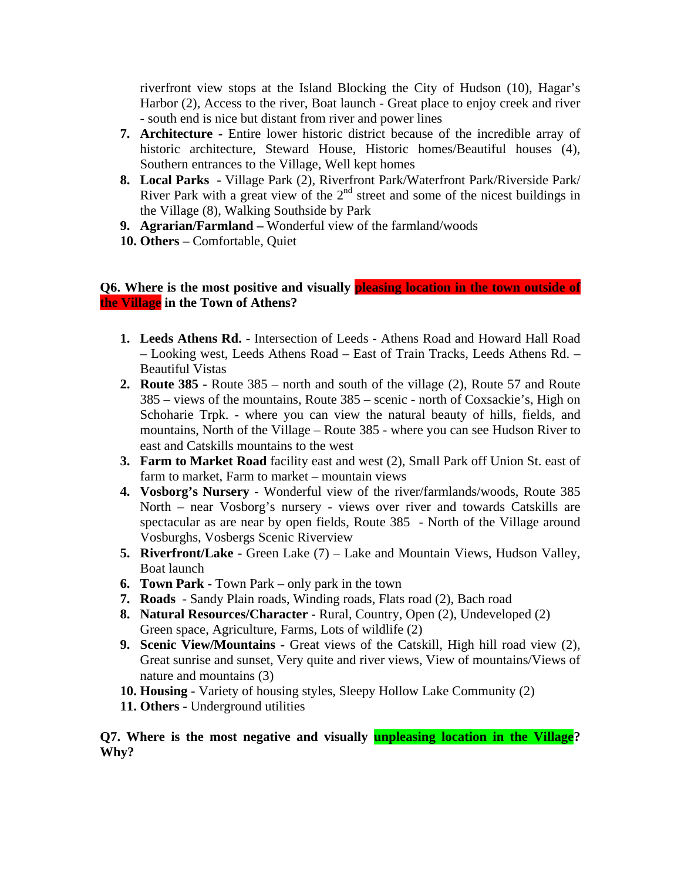riverfront view stops at the Island Blocking the City of Hudson (10), Hagar's Harbor (2), Access to the river, Boat launch - Great place to enjoy creek and river - south end is nice but distant from river and power lines

- **7. Architecture** Entire lower historic district because of the incredible array of historic architecture, Steward House, Historic homes/Beautiful houses (4), Southern entrances to the Village, Well kept homes
- **8. Local Parks** Village Park (2), Riverfront Park/Waterfront Park/Riverside Park/ River Park with a great view of the  $2<sup>nd</sup>$  street and some of the nicest buildings in the Village (8), Walking Southside by Park
- **9. Agrarian/Farmland** Wonderful view of the farmland/woods
- **10. Others –** Comfortable, Quiet

#### **Q6. Where is the most positive and visually pleasing location in the town outside of the Village in the Town of Athens?**

- **1. Leeds Athens Rd.** Intersection of Leeds Athens Road and Howard Hall Road – Looking west, Leeds Athens Road – East of Train Tracks, Leeds Athens Rd. – Beautiful Vistas
- **2. Route 385** Route 385 north and south of the village (2), Route 57 and Route 385 – views of the mountains, Route 385 – scenic - north of Coxsackie's, High on Schoharie Trpk. - where you can view the natural beauty of hills, fields, and mountains, North of the Village – Route 385 - where you can see Hudson River to east and Catskills mountains to the west
- **3. Farm to Market Road** facility east and west (2), Small Park off Union St. east of farm to market, Farm to market – mountain views
- **4. Vosborg's Nursery**  Wonderful view of the river/farmlands/woods, Route 385 North – near Vosborg's nursery - views over river and towards Catskills are spectacular as are near by open fields, Route 385 - North of the Village around Vosburghs, Vosbergs Scenic Riverview
- **5. Riverfront/Lake -** Green Lake (7) Lake and Mountain Views, Hudson Valley, Boat launch
- **6. Town Park** Town Park only park in the town
- **7. Roads** Sandy Plain roads, Winding roads, Flats road (2), Bach road
- **8. Natural Resources/Character -** Rural, Country, Open (2), Undeveloped (2) Green space, Agriculture, Farms, Lots of wildlife (2)
- **9. Scenic View/Mountains** Great views of the Catskill, High hill road view (2), Great sunrise and sunset, Very quite and river views, View of mountains/Views of nature and mountains (3)
- **10. Housing -** Variety of housing styles, Sleepy Hollow Lake Community (2)
- **11. Others** Underground utilities

**Q7. Where is the most negative and visually unpleasing location in the Village? Why?**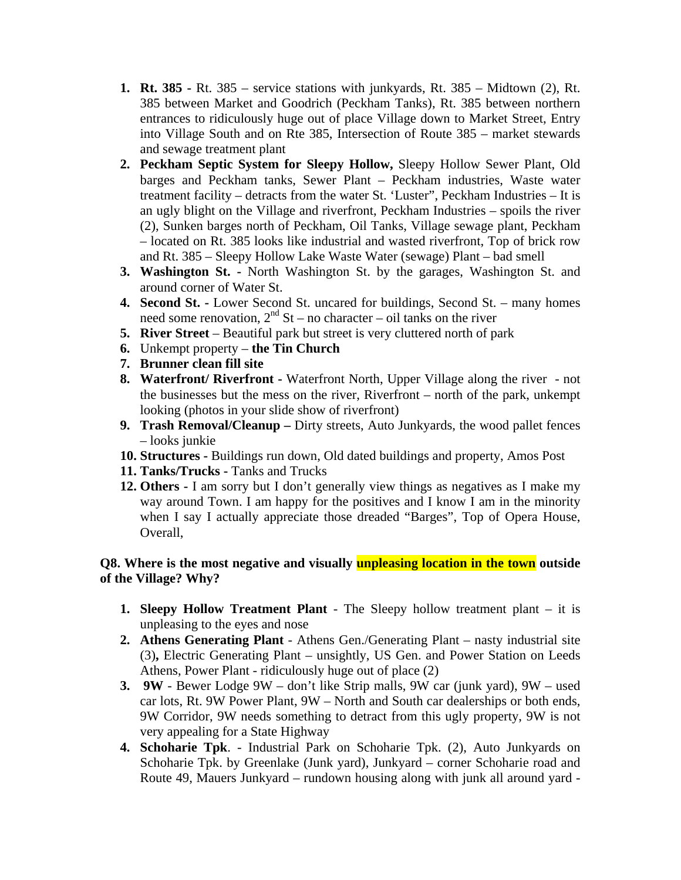- **1. Rt. 385** Rt. 385 service stations with junkyards, Rt. 385 Midtown (2), Rt. 385 between Market and Goodrich (Peckham Tanks), Rt. 385 between northern entrances to ridiculously huge out of place Village down to Market Street, Entry into Village South and on Rte 385, Intersection of Route 385 – market stewards and sewage treatment plant
- **2. Peckham Septic System for Sleepy Hollow,** Sleepy Hollow Sewer Plant, Old barges and Peckham tanks, Sewer Plant – Peckham industries, Waste water treatment facility – detracts from the water St. 'Luster", Peckham Industries – It is an ugly blight on the Village and riverfront, Peckham Industries – spoils the river (2), Sunken barges north of Peckham, Oil Tanks, Village sewage plant, Peckham – located on Rt. 385 looks like industrial and wasted riverfront, Top of brick row and Rt. 385 – Sleepy Hollow Lake Waste Water (sewage) Plant – bad smell
- **3. Washington St.** North Washington St. by the garages, Washington St. and around corner of Water St.
- **4. Second St.** Lower Second St. uncared for buildings, Second St. many homes need some renovation,  $2<sup>nd</sup>$  St – no character – oil tanks on the river
- **5. River Street** Beautiful park but street is very cluttered north of park
- **6.** Unkempt property **the Tin Church**
- **7. Brunner clean fill site**
- **8. Waterfront/ Riverfront** Waterfront North, Upper Village along the river not the businesses but the mess on the river, Riverfront – north of the park, unkempt looking (photos in your slide show of riverfront)
- **9. Trash Removal/Cleanup –** Dirty streets, Auto Junkyards, the wood pallet fences – looks junkie
- **10. Structures -** Buildings run down, Old dated buildings and property, Amos Post
- **11. Tanks/Trucks -** Tanks and Trucks
- **12. Others -** I am sorry but I don't generally view things as negatives as I make my way around Town. I am happy for the positives and I know I am in the minority when I say I actually appreciate those dreaded "Barges", Top of Opera House, Overall,

## **Q8. Where is the most negative and visually unpleasing location in the town outside of the Village? Why?**

- **1. Sleepy Hollow Treatment Plant** The Sleepy hollow treatment plant it is unpleasing to the eyes and nose
- **2. Athens Generating Plant**  Athens Gen./Generating Plant nasty industrial site (3)**,** Electric Generating Plant – unsightly, US Gen. and Power Station on Leeds Athens, Power Plant - ridiculously huge out of place (2)
- **3. 9W** Bewer Lodge 9W don't like Strip malls, 9W car (junk yard), 9W used car lots, Rt. 9W Power Plant, 9W – North and South car dealerships or both ends, 9W Corridor, 9W needs something to detract from this ugly property, 9W is not very appealing for a State Highway
- **4. Schoharie Tpk**. Industrial Park on Schoharie Tpk. (2), Auto Junkyards on Schoharie Tpk. by Greenlake (Junk yard), Junkyard – corner Schoharie road and Route 49, Mauers Junkyard – rundown housing along with junk all around yard -